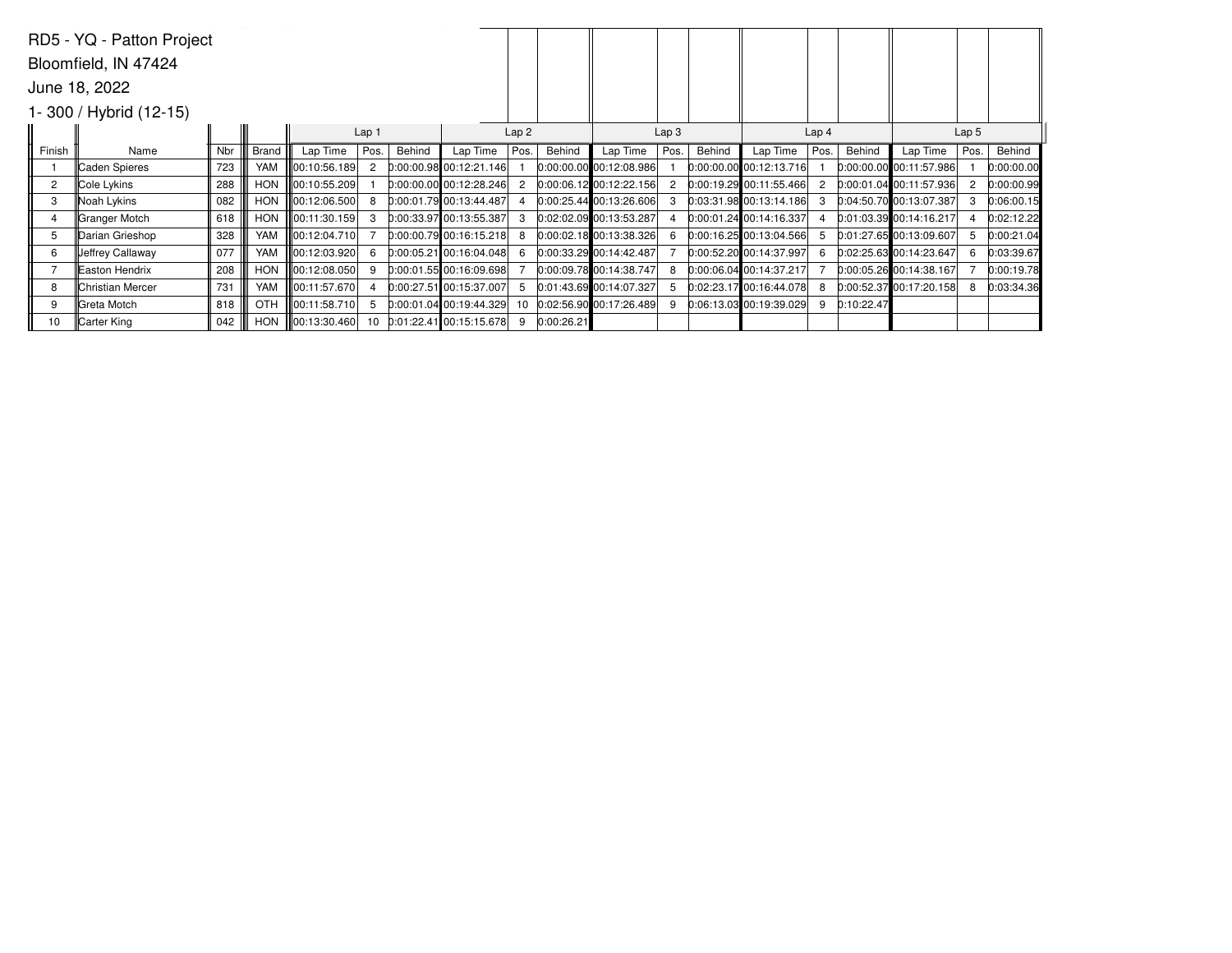|                | RD5 - YQ - Patton Project  |     |              |                          |       |        |                           |      |            |                             |                  |        |                             |                  |            |                           |      |            |  |
|----------------|----------------------------|-----|--------------|--------------------------|-------|--------|---------------------------|------|------------|-----------------------------|------------------|--------|-----------------------------|------------------|------------|---------------------------|------|------------|--|
|                | Bloomfield, IN 47424       |     |              |                          |       |        |                           |      |            |                             |                  |        |                             |                  |            |                           |      |            |  |
|                | June 18, 2022              |     |              |                          |       |        |                           |      |            |                             |                  |        |                             |                  |            |                           |      |            |  |
|                | $1 - 300$ / Hybrid (12-15) |     |              |                          |       |        |                           |      |            |                             |                  |        |                             |                  |            |                           |      |            |  |
|                |                            |     |              |                          | Lap 1 |        |                           | Lap2 |            |                             | Lap <sub>3</sub> |        |                             | Lap <sub>4</sub> |            | Lap <sub>5</sub>          |      |            |  |
| Finish         | Name                       | Nbr | <b>Brand</b> | Lap Time                 | Pos.  | Behind | Lap Time                  | Pos. | Behind     | Lap Time                    | Pos.             | Behind | Lap Time                    | Pos.             | Behind     | Lap Time                  | Pos. | Behind     |  |
|                | Caden Spieres              | 723 | <b>YAM</b>   | 00:10:56.189             | 2     |        | 0:00:00.98 00:12:21.146   |      |            | $0:00:00.00$ 00:12:08.986   |                  |        | $[0:00:00.00]$ 00:12:13.716 |                  |            | $0:00:00.00$ 00:11:57.986 |      | 0:00:00.00 |  |
| $\overline{2}$ | Cole Lykins                | 288 | <b>HON</b>   | 00:10:55.209             |       |        | $0:00:00.00$ 00:12:28.246 |      |            | $0:00:06.12$ 00:12:22.156   |                  |        | $0:00:19.29$ 00:11:55.466   | 2                |            | 0:00:01.04 00:11:57.936   |      | 0:00:00.99 |  |
| 3              | Noah Lykins                | 082 | <b>HON</b>   | $\parallel$ 00:12:06.500 | 8     |        | 0:00:01.79 00:13:44.487   |      |            | $0:00:25.44$ 00:13:26.606   |                  |        | $0:03:31.98$ 00:13:14.186   | 3                |            | $0.04:50.70$ 00:13:07.387 |      | 0:06:00.15 |  |
|                | Granger Motch              | 618 | <b>HON</b>   | 00:11:30.159             | 3     |        | 0:00:33.97 00:13:55.387   |      |            | 0:02:02.09 00:13:53.287     |                  |        | 0:00:01.24 00:14:16.337     |                  |            | $0:01:03.39$ 00:14:16.217 |      | 0:02:12.22 |  |
| 5              | Darian Grieshop            | 328 | YAM          | 00:12:04.710             |       |        | $0:00:00.79$ 00:16:15.218 | 8    |            | $[0:00:02.18]$ 00:13:38.326 |                  |        | $[0:00:16.25]$ 00:13:04.566 | 5                |            | $0:01:27.65$ 00:13:09.607 |      | 0:00:21.04 |  |
| 6              | Jeffrey Callaway           | 077 | YAM          | 00:12:03.920             | 6     |        | $0:00:05.21$ 00:16:04.048 |      |            | $0:00:33.29$ 00:14:42.487   |                  |        | 0:00:52.20 00:14:37.997     | 6                |            | $0:02:25.63$ 00:14:23.647 |      | 0:03:39.67 |  |
|                | Easton Hendrix             | 208 | <b>HON</b>   | $\ 00:12:08.050\ $       | 9     |        | $0:00:01.55$ 00:16:09.698 |      |            | 0:00:09.78 00:14:38.747     |                  |        | 0:00:06.04 00:14:37.217     |                  |            | 0:00:05.26 00:14:38.167   |      | 0:00:19.78 |  |
| 8              | <b>Christian Mercer</b>    | 731 | YAM          | 00:11:57.670             |       |        | $0:00:27.51$ 00:15:37.007 |      |            | 0:01:43.69 00:14:07.327     |                  |        | 0:02:23.17 00:16:44.078     | 8                |            | 0:00:52.37 00:17:20.158   |      | 0:03:34.36 |  |
| 9              | <b>Greta Motch</b>         | 818 | OTH          | 00:11:58.710             | 5     |        | $0:00:01.04$ 00:19:44.329 | 10   |            | 0:02:56.90 00:17:26.489     |                  |        | 0:06:13.03 00:19:39.029     | 9                | 0:10:22.47 |                           |      |            |  |
| 10             | Carter King                | 042 | <b>HON</b>   | 00:13:30.460             | 10    |        | $0:01:22.41$ 00:15:15.678 | 9    | 0:00:26.21 |                             |                  |        |                             |                  |            |                           |      |            |  |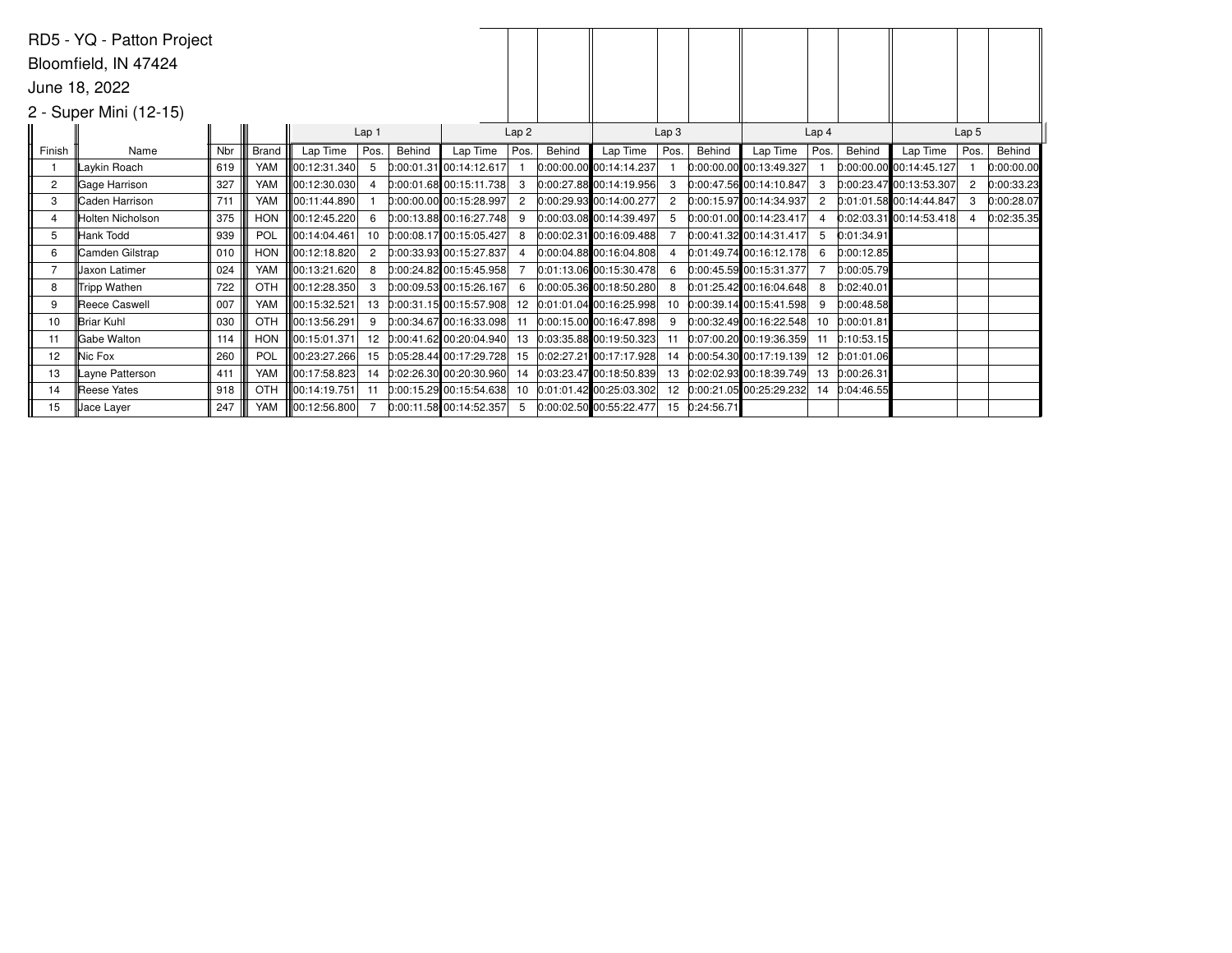|                | RD5 - YQ - Patton Project |     |            |               |                |        |                           |                |        |                            |                  |               |                            |                  |            |                           |                  |            |
|----------------|---------------------------|-----|------------|---------------|----------------|--------|---------------------------|----------------|--------|----------------------------|------------------|---------------|----------------------------|------------------|------------|---------------------------|------------------|------------|
|                | Bloomfield, IN 47424      |     |            |               |                |        |                           |                |        |                            |                  |               |                            |                  |            |                           |                  |            |
|                | June 18, 2022             |     |            |               |                |        |                           |                |        |                            |                  |               |                            |                  |            |                           |                  |            |
|                | 2 - Super Mini (12-15)    |     |            |               |                |        |                           |                |        |                            |                  |               |                            |                  |            |                           |                  |            |
|                |                           |     | Lap 1      |               |                |        |                           |                |        |                            | Lap <sub>3</sub> |               |                            | Lap <sub>4</sub> |            |                           | Lap <sub>5</sub> |            |
| Finish         | Name                      | Nbr | Brand      | Lap Time      | Pos.           | Behind | Lap Time                  | Pos.           | Behind | Lap Time                   | Pos.             | Behind        | Lap Time                   | Pos.             | Behind     | Lap Time                  | Pos.             | Behind     |
|                | Laykin Roach              | 619 | YAM        | 00:12:31.340  | -5             |        | $0:00:01.31$ 00:14:12.617 |                |        | 0:00:00.00 00:14:14.237    |                  |               | 0:00:00.00 00:13:49.327    |                  |            | 0:00:00.00 00:14:45.127   |                  | 0:00:00.00 |
| $\overline{2}$ | <b>Gage Harrison</b>      | 327 | YAM        | 00:12:30.030  | $\Delta$       |        | $0:00:01.68$ 00:15:11.738 |                |        | $0:00:27.88$ 00:14:19.956  |                  |               | 0:00:47.56 00:14:10.847    | 3                |            | 0:00:23.47 00:13:53.307   |                  | 0:00:33.23 |
| 3              | <b>Caden Harrison</b>     | 711 | YAM        | 00:11:44.890  |                |        | 0:00:00.00 00:15:28.997   | $\overline{2}$ |        | 0:00:29.93 00:14:00.277    | 2                |               | 0:00:15.97 00:14:34.937    | 2                |            | $0:01:01.58$ 00:14:44.847 |                  | 0:00:28.07 |
| $\overline{4}$ | Holten Nicholson          | 375 | <b>HON</b> | 00:12:45.220  | 6              |        | 0:00:13.88 00:16:27.748   |                |        | 0:00:03.08 00:14:39.497    |                  |               | 0:00:01.00 00:14:23.417    |                  |            | $0:02:03.31$ 00:14:53.418 |                  | 0:02:35.35 |
| 5              | Hank Todd                 | 939 | POL        | 00:14:04.461  | 10             |        | 0:00:08.17 00:15:05.427   | 8              |        | 0:00:02.31 00:16:09.488    |                  |               | 0:00:41.32 00:14:31.417    | 5                | 0:01:34.91 |                           |                  |            |
| 6              | Camden Gilstrap           | 010 | <b>HON</b> | 00:12:18.820  | $\overline{2}$ |        | 0:00:33.93 00:15:27.837   |                |        | 0:00:04.88 00:16:04.808    |                  |               | 0:01:49.74 00:16:12.178    | 6                | 0:00:12.85 |                           |                  |            |
|                | Jaxon Latimer             | 024 | YAM        | 00:13:21.620  | 8              |        | 0:00:24.82 00:15:45.958   |                |        | 0:01:13.06 00:15:30.478    | 6                |               | 0:00:45.59 00:15:31.377    |                  | 0:00:05.79 |                           |                  |            |
| 8              | Tripp Wathen              | 722 | OTH        | 00:12:28.350  | 3              |        | 0:00:09.53 00:15:26.167   | 6              |        | 0:00:05.36 00:18:50.280    | 8                |               | 0:01:25.42 00:16:04.648    | 8                | 0:02:40.01 |                           |                  |            |
| 9              | Reece Caswell             | 007 | YAM        | 00:15:32.521  | 13             |        | $0:00:31.15$ 00:15:57.908 |                |        | 12 0:01:01.04 00:16:25.998 |                  |               | 10 0:00:39.14 00:15:41.598 | 9                | 0:00:48.58 |                           |                  |            |
| 10             | IBriar Kuhl               | 030 | OTH        | 100:13:56.291 | 9              |        | 0:00:34.67 00:16:33.098   |                |        | 0:00:15.00 00:16:47.898    |                  |               | 0:00:32.49 00:16:22.548    | 10               | 0:00:01.81 |                           |                  |            |
| 11             | <b>IGabe Walton</b>       | 114 | <b>HON</b> | 00:15:01.371  | 12             |        | 0:00:41.62 00:20:04.940   |                |        | 13 0:03:35.88 00:19:50.323 | 11               |               | 0:07:00.20 00:19:36.359    | 11               | 0:10:53.15 |                           |                  |            |
| 12             | Nic Fox                   | 260 | POL        | 00:23:27.266  | 15             |        | 0:05:28.44 00:17:29.728   | 15             |        | $0:02:27.21$ 00:17:17.928  | 14               |               | $0:00:54.30$ 00:17:19.139  | 12               | 0:01:01.06 |                           |                  |            |
| 13             | Layne Patterson           | 411 | YAM        | 00:17:58.823  | 14             |        | 0:02:26.30 00:20:30.960   |                |        | 14 0:03:23.47 00:18:50.839 |                  |               | 13 0:02:02.93 00:18:39.749 | 13               | 0:00:26.31 |                           |                  |            |
| 14             | <b>Reese Yates</b>        | 918 | <b>OTH</b> | 00:14:19.751  | 11             |        | $0:00:15.29$ 00:15:54.638 |                |        | 10 0:01:01.42 00:25:03.302 |                  |               | 12 0:00:21.05 00:25:29.232 | 14               | 0:04:46.55 |                           |                  |            |
| 15             | Uace Layer                | 247 | YAM        | 00:12:56.800  | 7              |        | $0:00:11.58$ 00:14:52.357 | -5             |        | $0:00:02.50$ 00:55:22.477  |                  | 15 0:24:56.71 |                            |                  |            |                           |                  |            |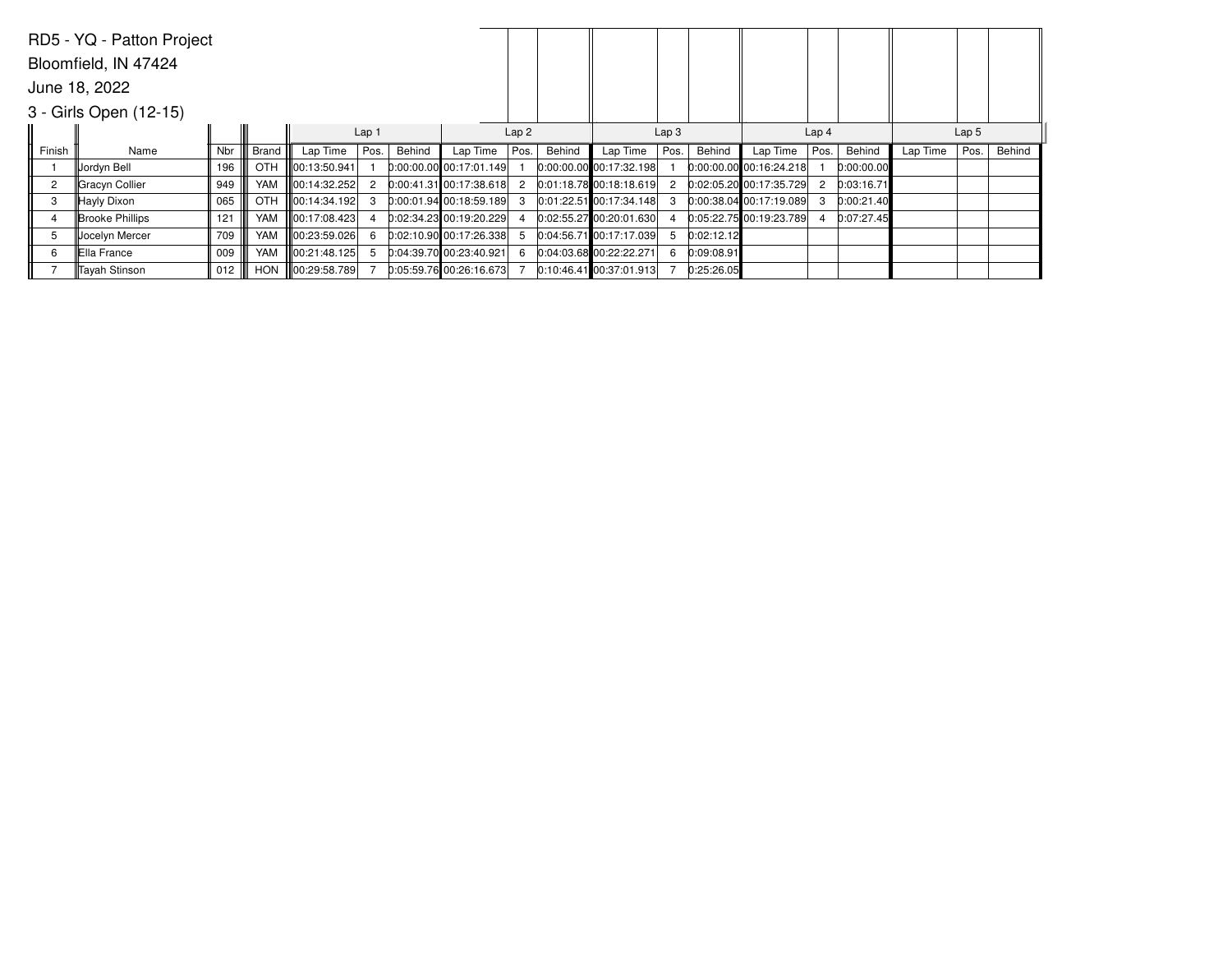|                | RD5 - YQ - Patton Project |     |              |                    |                  |        |                             |                  |        |                           |                  |            |                           |                  |            |                  |      |        |
|----------------|---------------------------|-----|--------------|--------------------|------------------|--------|-----------------------------|------------------|--------|---------------------------|------------------|------------|---------------------------|------------------|------------|------------------|------|--------|
|                | Bloomfield, IN 47424      |     |              |                    |                  |        |                             |                  |        |                           |                  |            |                           |                  |            |                  |      |        |
|                | June 18, 2022             |     |              |                    |                  |        |                             |                  |        |                           |                  |            |                           |                  |            |                  |      |        |
|                | 3 - Girls Open (12-15)    |     |              |                    |                  |        |                             |                  |        |                           |                  |            |                           |                  |            |                  |      |        |
|                |                           |     |              |                    | Lap <sub>1</sub> |        |                             | Lap <sub>2</sub> |        |                           | Lap <sub>3</sub> |            |                           | Lap <sub>4</sub> |            | Lap <sub>5</sub> |      |        |
| Finish         | Name                      | Nbr | <b>Brand</b> | Lap Time           | Pos.             | Behind | Lap Time                    | Pos.             | Behind | Lap Time                  | Pos.             | Behind     | Lap Time                  | Pos.             | Behind     | Lap Time         | Pos. | Behind |
|                | Uordyn Bell               | 196 | OTH          | 00:13:50.941       |                  |        | $0:00:00.00$ 00:17:01.149   |                  |        | $0:00:00.00$ 00:17:32.198 |                  |            | $0:00:00.00$ 00:16:24.218 |                  | 0:00:00.00 |                  |      |        |
| $\overline{2}$ | Gracyn Collier            | 949 | YAM          | 100:14:32.252      | $\overline{2}$   |        | $[0:00:41.31]$ 00:17:38.618 | 2                |        | $0:01:18.78$ 00:18:18.619 | 2                |            | 0:02:05.20 00:17:35.729   |                  | 0:03:16.71 |                  |      |        |
| 3              | Hayly Dixon               | 065 | <b>OTH</b>   | 100:14:34.192      | 3                |        | $0:00:01.94$ 00:18:59.189   | 3                |        | $0:01:22.51$ 00:17:34.148 | з.               |            | 0:00:38.04 00:17:19.089   |                  | 0:00:21.40 |                  |      |        |
|                | <b>Brooke Phillips</b>    | 121 | YAM          | 00:17:08.423       |                  |        | 0:02:34.23 00:19:20.229     |                  |        | $0:02:55.27$ 00:20:01.630 |                  |            | 0:05:22.75 00:19:23.789   |                  | 0:07:27.45 |                  |      |        |
| 5              | Jocelyn Mercer            | 709 | YAM          | $\ 00:23:59.026\ $ | 6                |        | 0:02:10.90 00:17:26.338     |                  |        | 0:04:56.71 00:17:17.039   | 5                | 0:02:12.12 |                           |                  |            |                  |      |        |
| 6              | Ella France               | 009 | YAM          | 00:21:48.125       |                  |        | 0:04:39.70 00:23:40.921     | 6                |        | $0:04:03.68$ 00:22:22.271 | 6                | 0:09:08.91 |                           |                  |            |                  |      |        |
|                | <b>Tavah Stinson</b>      | 012 | <b>HON</b>   | 00:29:58.789       |                  |        | 0:05:59.76 00:26:16.673     |                  |        | $0:10:46.41$ 0.37:01.913  |                  | 0:25:26.05 |                           |                  |            |                  |      |        |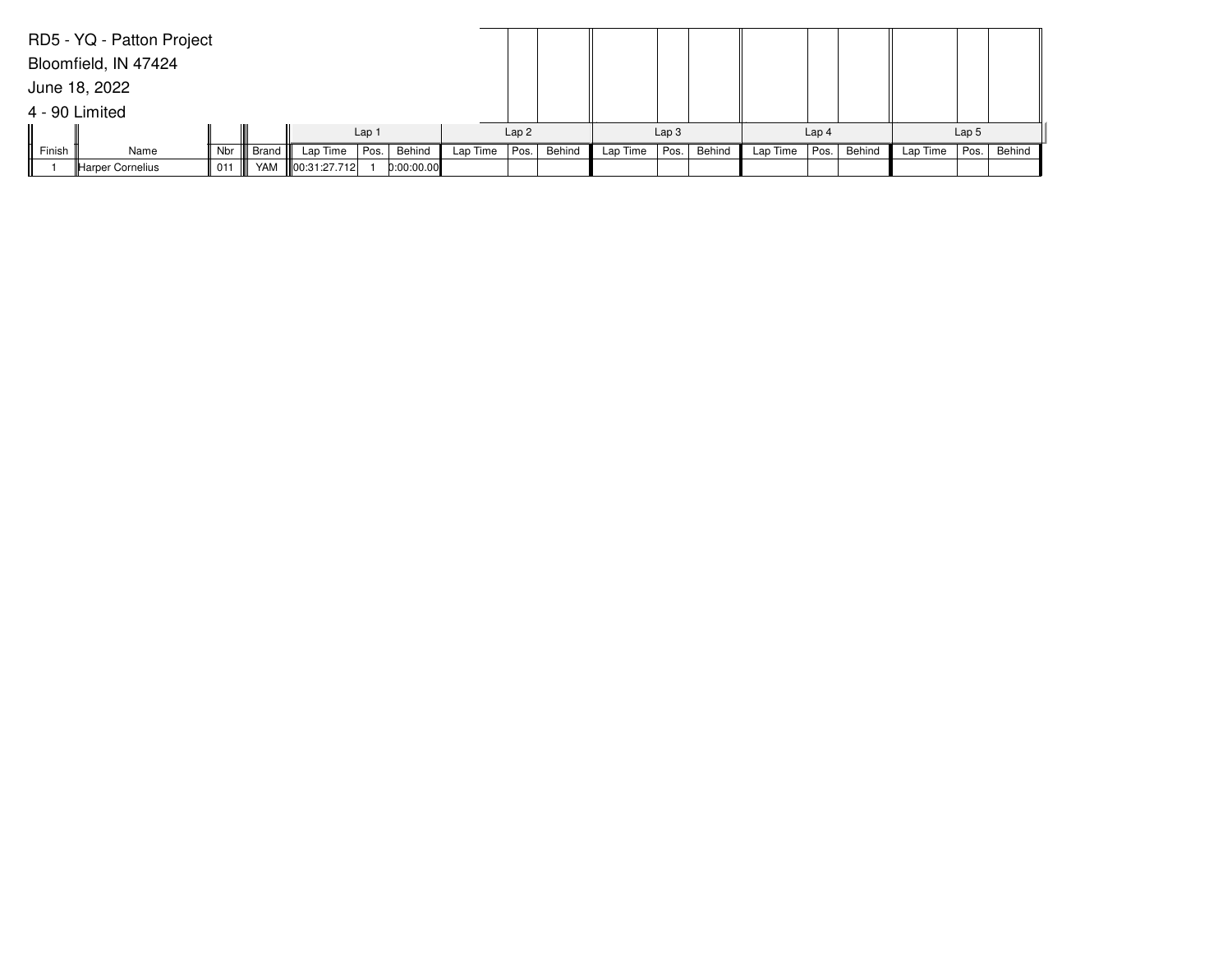|        | RD5 - YQ - Patton Project |       |       |                   |      |            |          |                  |        |          |                  |        |          |                  |        |          |                  |        |
|--------|---------------------------|-------|-------|-------------------|------|------------|----------|------------------|--------|----------|------------------|--------|----------|------------------|--------|----------|------------------|--------|
|        | Bloomfield, IN 47424      |       |       |                   |      |            |          |                  |        |          |                  |        |          |                  |        |          |                  |        |
|        | June 18, 2022             |       |       |                   |      |            |          |                  |        |          |                  |        |          |                  |        |          |                  |        |
|        | 4 - 90 Limited            |       |       |                   |      |            |          |                  |        |          |                  |        |          |                  |        |          |                  |        |
|        |                           | Lap 1 |       |                   |      |            |          | Lap <sub>2</sub> |        |          | Lap <sub>3</sub> |        |          | Lap <sub>4</sub> |        |          | Lap <sub>5</sub> |        |
| Finish | Name                      | Nbr   | Brand | Lap Time          | Pos. | Behind     | Lap Time | Pos.             | Behind | Lap Time | Pos.             | Behind | Lap Time | Pos.             | Behind | Lap Time | Pos.             | Behind |
|        | Harper Cornelius          | 011   |       | YAM 800:31:27.712 |      | 0:00:00.00 |          |                  |        |          |                  |        |          |                  |        |          |                  |        |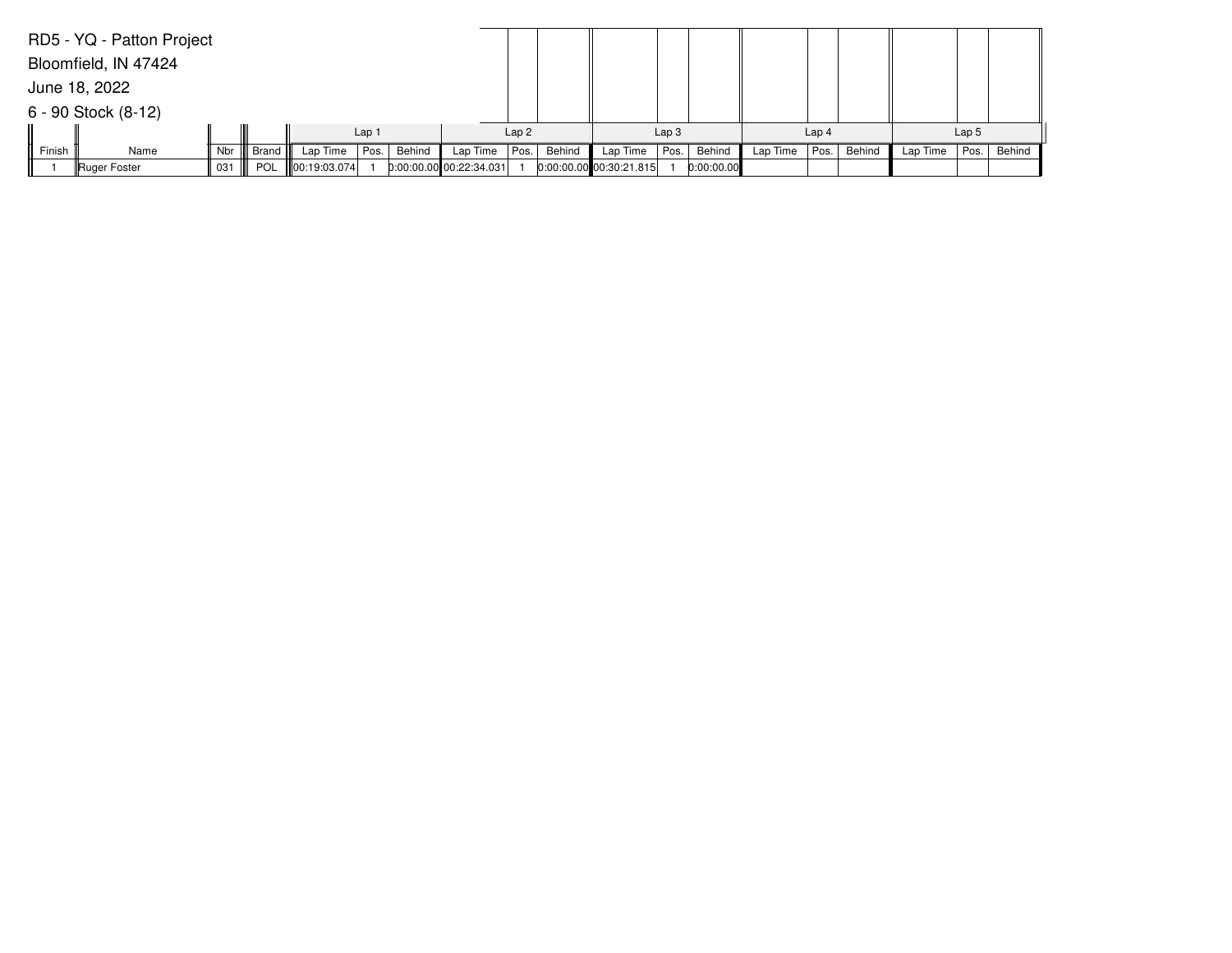|        | RD5 - YQ - Patton Project |     |       |                  |      |        |                         |      |        |                           |      |            |                  |      |        |                  |      |        |
|--------|---------------------------|-----|-------|------------------|------|--------|-------------------------|------|--------|---------------------------|------|------------|------------------|------|--------|------------------|------|--------|
|        | Bloomfield, IN 47424      |     |       |                  |      |        |                         |      |        |                           |      |            |                  |      |        |                  |      |        |
|        | June 18, 2022             |     |       |                  |      |        |                         |      |        |                           |      |            |                  |      |        |                  |      |        |
|        | $6 - 90$ Stock $(8-12)$   |     |       |                  |      |        |                         |      |        |                           |      |            |                  |      |        |                  |      |        |
|        |                           |     |       | Lap <sub>1</sub> |      |        | Lap <sub>2</sub>        |      |        | Lap <sub>3</sub>          |      |            | Lap <sub>4</sub> |      |        | Lap <sub>5</sub> |      |        |
| Finish | Name                      | Nbr | Brand | Lap Time         | Pos. | Behind | Lap Time                | Pos. | Behind | Lap Time                  | Pos. | Behind     | Lap Time         | Pos. | Behind | Lap Time         | Pos. | Behind |
|        | Ruger Foster              | 031 | POL   | 00:19:03.074     |      |        | 0:00:00.00 00:22:34.031 |      |        | $0:00:00.00$ 00:30:21.815 |      | 0:00:00.00 |                  |      |        |                  |      |        |